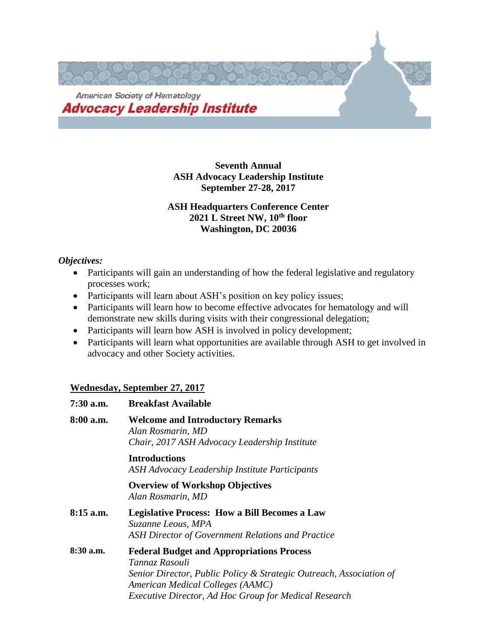

**Seventh Annual ASH Advocacy Leadership Institute September 27-28, 2017**

# **ASH Headquarters Conference Center 2021 L Street NW, 10th floor Washington, DC 20036**

# *Objectives:*

- Participants will gain an understanding of how the federal legislative and regulatory processes work;
- Participants will learn about ASH's position on key policy issues;
- Participants will learn how to become effective advocates for hematology and will demonstrate new skills during visits with their congressional delegation;
- Participants will learn how ASH is involved in policy development;
- Participants will learn what opportunities are available through ASH to get involved in advocacy and other Society activities.

# **Wednesday, September 27, 2017**

| $7:30$ a.m. | <b>Breakfast Available</b>                                                                                                                                                                                                                    |
|-------------|-----------------------------------------------------------------------------------------------------------------------------------------------------------------------------------------------------------------------------------------------|
| $8:00$ a.m. | <b>Welcome and Introductory Remarks</b><br>Alan Rosmarin, MD<br>Chair, 2017 ASH Advocacy Leadership Institute                                                                                                                                 |
|             | <b>Introductions</b><br>ASH Advocacy Leadership Institute Participants                                                                                                                                                                        |
|             | <b>Overview of Workshop Objectives</b><br>Alan Rosmarin, MD                                                                                                                                                                                   |
| $8:15$ a.m. | <b>Legislative Process: How a Bill Becomes a Law</b><br>Suzanne Leous, MPA<br>ASH Director of Government Relations and Practice                                                                                                               |
| 8:30 a.m.   | <b>Federal Budget and Appropriations Process</b><br>Tannaz Rasouli<br>Senior Director, Public Policy & Strategic Outreach, Association of<br>American Medical Colleges (AAMC)<br><b>Executive Director, Ad Hoc Group for Medical Research</b> |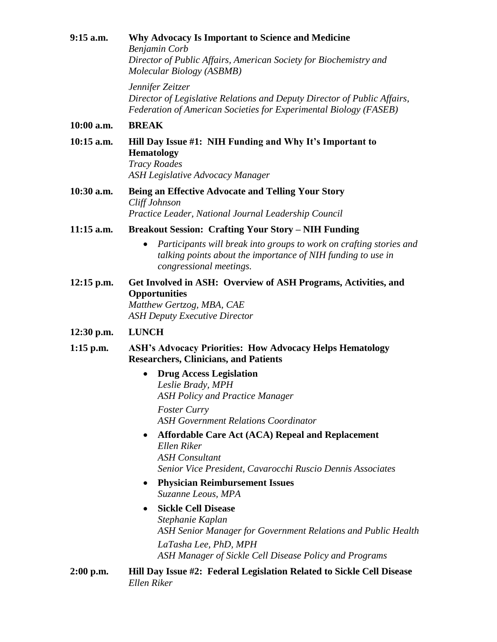**9:15 a.m. Why Advocacy Is Important to Science and Medicine** *Benjamin Corb Director of Public Affairs, American Society for Biochemistry and Molecular Biology (ASBMB)*

> *Jennifer Zeitzer Director of Legislative Relations and Deputy Director of Public Affairs, Federation of American Societies for Experimental Biology (FASEB)*

#### **10:00 a.m. BREAK**

- **10:15 a.m. Hill Day Issue #1: NIH Funding and Why It's Important to Hematology** *Tracy Roades ASH Legislative Advocacy Manager*
- **10:30 a.m. Being an Effective Advocate and Telling Your Story** *Cliff Johnson Practice Leader, National Journal Leadership Council*
- **11:15 a.m. Breakout Session: Crafting Your Story – NIH Funding**
	- *Participants will break into groups to work on crafting stories and talking points about the importance of NIH funding to use in congressional meetings.*
- **12:15 p.m. Get Involved in ASH: Overview of ASH Programs, Activities, and Opportunities** *Matthew Gertzog, MBA, CAE*

*ASH Deputy Executive Director*

#### **12:30 p.m. LUNCH**

- **1:15 p.m. ASH's Advocacy Priorities: How Advocacy Helps Hematology Researchers, Clinicians, and Patients**
	- **Drug Access Legislation** *Leslie Brady, MPH ASH Policy and Practice Manager Foster Curry*

*ASH Government Relations Coordinator*

- **Affordable Care Act (ACA) Repeal and Replacement** *Ellen Riker ASH Consultant Senior Vice President, Cavarocchi Ruscio Dennis Associates*
- **Physician Reimbursement Issues** *Suzanne Leous, MPA*

# • **Sickle Cell Disease** *Stephanie Kaplan ASH Senior Manager for Government Relations and Public Health LaTasha Lee, PhD, MPH ASH Manager of Sickle Cell Disease Policy and Programs*

**2:00 p.m. Hill Day Issue #2: Federal Legislation Related to Sickle Cell Disease** *Ellen Riker*